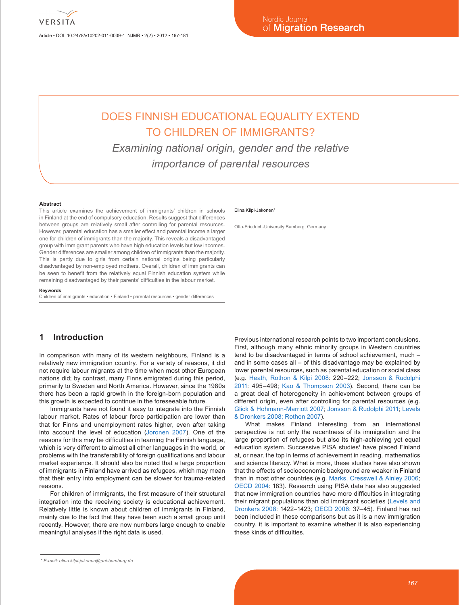Article • DOI: 10.2478/v10202-011-0039-4 NJMR • 2(2) • 2012 • 167-181

# DOES FINNISH EDUCATIONAL EQUALITY EXTEND TO CHILDREN OF IMMIGRANTS?

*Examining national origin, gender and the relative importance of parental resources*

#### **Abstract**

This article examines the achievement of immigrants' children in schools in Finland at the end of compulsory education. Results suggest that differences between groups are relatively small after controlling for parental resources. However, parental education has a smaller effect and parental income a larger one for children of immigrants than the majority. This reveals a disadvantaged group with immigrant parents who have high education levels but low incomes. Gender differences are smaller among children of immigrants than the majority. This is partly due to girls from certain national origins being particularly disadvantaged by non-employed mothers. Overall, children of immigrants can be seen to benefit from the relatively equal Finnish education system while remaining disadvantaged by their parents' difficulties in the labour market.

#### **Keywords**

Children of immigrants • education • Finland • parental resources • gender differences

# **1 Introduction**

In comparison with many of its western neighbours, Finland is a relatively new immigration country. For a variety of reasons, it did not require labour migrants at the time when most other European nations did; by contrast, many Finns emigrated during this period, primarily to Sweden and North America. However, since the 1980s there has been a rapid growth in the foreign-born population and this growth is expected to continue in the foreseeable future.

Immigrants have not found it easy to integrate into the Finnish labour market. Rates of labour force participation are lower than that for Finns and unemployment rates higher, even after taking into account the level of education [\(Joronen 2007\)](#page-14-0). One of the reasons for this may be difficulties in learning the Finnish language, which is very different to almost all other languages in the world, or problems with the transferability of foreign qualifications and labour market experience. It should also be noted that a large proportion of immigrants in Finland have arrived as refugees, which may mean that their entry into employment can be slower for trauma-related reasons.

For children of immigrants, the first measure of their structural integration into the receiving society is educational achievement. Relatively little is known about children of immigrants in Finland, mainly due to the fact that they have been such a small group until recently. However, there are now numbers large enough to enable meaningful analyses if the right data is used.

Otto-Friedrich-University Bamberg, Germany

Previous international research points to two important conclusions. First, although many ethnic minority groups in Western countries tend to be disadvantaged in terms of school achievement, much – and in some cases all – of this disadvantage may be explained by lower parental resources, such as parental education or social class (e.g. [Heath, Rothon & Kilpi 2008:](#page-13-0) 220–222; [Jonsson & Rudolphi](#page-13-1) [2011](#page-13-1): 495–498; [Kao & Thompson 2003](#page-14-1)). Second, there can be a great deal of heterogeneity in achievement between groups of different origin, even after controlling for parental resources (e.g. [Glick & Hohmann-Marriott 2007;](#page-13-2) [Jonsson & Rudolphi 2011](#page-13-1); [Levels](#page-14-2) [& Dronkers 2008; Rothon 2007](#page-14-2)).

What makes Finland interesting from an international perspective is not only the recentness of its immigration and the large proportion of refugees but also its high-achieving yet equal education system. Successive PISA studies<sup>1</sup> have placed Finland at, or near, the top in terms of achievement in reading, mathematics and science literacy. What is more, these studies have also shown that the effects of socioeconomic background are weaker in Finland than in most other countries (e.g. [Marks, Cresswell & Ainley 2006](#page-14-3); [OECD 2004:](#page-14-4) 183). Research using PISA data has also suggested that new immigration countries have more difficulties in integrating their migrant populations than old immigrant societies ([Levels and](#page-14-2) [Dronkers 2008](#page-14-2): 1422–1423; [OECD 2006:](#page-14-5) 37–45). Finland has not been included in these comparisons but as it is a new immigration country, it is important to examine whether it is also experiencing these kinds of difficulties.

Elina Kilpi-Jakonen<sup>\*</sup>

*<sup>\*</sup> E-mail: elina.kilpi-jakonen@uni-bamberg.de*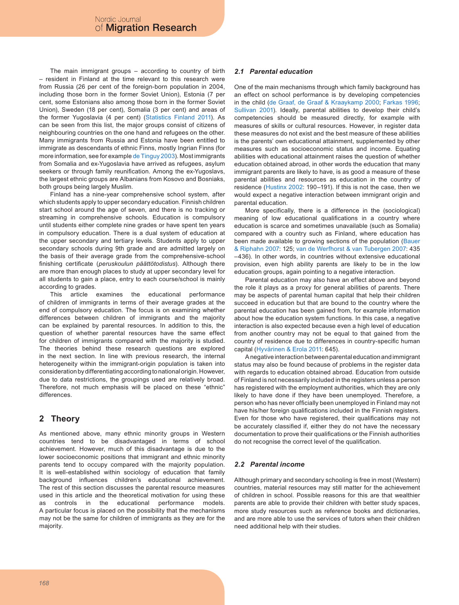The main immigrant groups – according to country of birth – resident in Finland at the time relevant to this research were from Russia (26 per cent of the foreign-born population in 2004, including those born in the former Soviet Union), Estonia (7 per cent, some Estonians also among those born in the former Soviet Union), Sweden (18 per cent), Somalia (3 per cent) and areas of the former Yugoslavia (4 per cent) [\(Statistics Finland 2011\)](#page-14-6). As can be seen from this list, the major groups consist of citizens of neighbouring countries on the one hand and refugees on the other. Many immigrants from Russia and Estonia have been entitled to immigrate as descendants of ethnic Finns, mostly Ingrian Finns (for more information, see for example [de Tinguy 2003\)](#page-13-3). Most immigrants from Somalia and ex-Yugoslavia have arrived as refugees, asylum seekers or through family reunification. Among the ex-Yugoslavs, the largest ethnic groups are Albanians from Kosovo and Bosniaks, both groups being largely Muslim.

Finland has a nine-year comprehensive school system, after which students apply to upper secondary education. Finnish children start school around the age of seven, and there is no tracking or streaming in comprehensive schools. Education is compulsory until students either complete nine grades or have spent ten years in compulsory education. There is a dual system of education at the upper secondary and tertiary levels. Students apply to upper secondary schools during 9th grade and are admitted largely on the basis of their average grade from the comprehensive-school finishing certificate (*peruskoulun päättötodistus*). Although there are more than enough places to study at upper secondary level for all students to gain a place, entry to each course/school is mainly according to grades.

This article examines the educational performance of children of immigrants in terms of their average grades at the end of compulsory education. The focus is on examining whether differences between children of immigrants and the majority can be explained by parental resources. In addition to this, the question of whether parental resources have the same effect for children of immigrants compared with the majority is studied. The theories behind these research questions are explored in the next section. In line with previous research, the internal heterogeneity within the immigrant-origin population is taken into consideration by differentiating according to national origin. However, due to data restrictions, the groupings used are relatively broad. Therefore, not much emphasis will be placed on these "ethnic" differences.

# **2 Theory**

As mentioned above, many ethnic minority groups in Western countries tend to be disadvantaged in terms of school achievement. However, much of this disadvantage is due to the lower socioeconomic positions that immigrant and ethnic minority parents tend to occupy compared with the majority population. It is well-established within sociology of education that family background influences children's educational achievement. The rest of this section discusses the parental resource measures used in this article and the theoretical motivation for using these as controls in the educational performance models. A particular focus is placed on the possibility that the mechanisms may not be the same for children of immigrants as they are for the majority.

### *2.1 Parental education*

One of the main mechanisms through which family background has an effect on school performance is by developing competencies in the child [\(de Graaf, de Graaf & Kraaykamp 2000](#page-13-4); [Farkas 1996;](#page-13-5) [Sullivan 2001](#page-14-7)). Ideally, parental abilities to develop their child's competencies should be measured directly, for example with measures of skills or cultural resources. However, in register data these measures do not exist and the best measure of these abilities is the parents' own educational attainment, supplemented by other measures such as socioeconomic status and income. Equating abilities with educational attainment raises the question of whether education obtained abroad, in other words the education that many immigrant parents are likely to have, is as good a measure of these parental abilities and resources as education in the country of residence ([Hustinx 2002:](#page-13-6) 190–191). If this is not the case, then we would expect a negative interaction between immigrant origin and parental education.

More specifically, there is a difference in the (sociological) meaning of low educational qualifications in a country where education is scarce and sometimes unavailable (such as Somalia) compared with a country such as Finland, where education has been made available to growing sections of the population [\(Bauer](#page-13-7) [& Riphahn 2007](#page-13-7): 125; [van de Werfhorst & van Tubergen 2007:](#page-14-8) 435 –436). In other words, in countries without extensive educational provision, even high ability parents are likely to be in the low education groups, again pointing to a negative interaction.

Parental education may also have an effect above and beyond the role it plays as a proxy for general abilities of parents. There may be aspects of parental human capital that help their children succeed in education but that are bound to the country where the parental education has been gained from, for example information about how the education system functions. In this case, a negative interaction is also expected because even a high level of education from another country may not be equal to that gained from the country of residence due to differences in country-specific human capital ([Hyvärinen & Erola 2011:](#page-13-8) 645).

A negative interaction between parental education and immigrant status may also be found because of problems in the register data with regards to education obtained abroad. Education from outside of Finland is not necessarily included in the registers unless a person has registered with the employment authorities, which they are only likely to have done if they have been unemployed. Therefore, a person who has never officially been unemployed in Finland may not have his/her foreign qualifications included in the Finnish registers. Even for those who have registered, their qualifications may not be accurately classified if, either they do not have the necessary documentation to prove their qualifications or the Finnish authorities do not recognise the correct level of the qualification.

# *2.2 Parental income*

Although primary and secondary schooling is free in most (Western) countries, material resources may still matter for the achievement of children in school. Possible reasons for this are that wealthier parents are able to provide their children with better study spaces, more study resources such as reference books and dictionaries, and are more able to use the services of tutors when their children need additional help with their studies.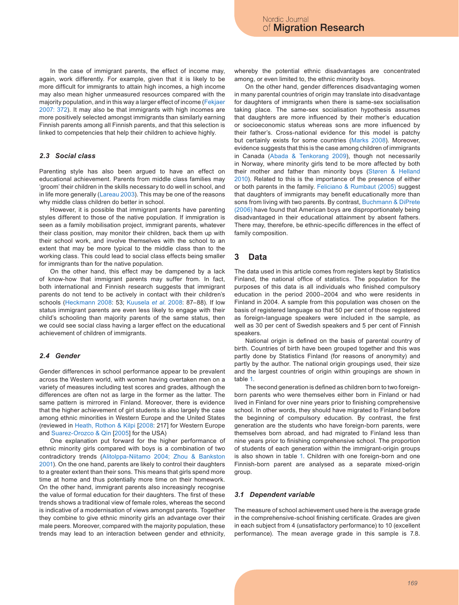In the case of immigrant parents, the effect of income may, again, work differently. For example, given that it is likely to be more difficult for immigrants to attain high incomes, a high income may also mean higher unmeasured resources compared with the majority population, and in this way a larger effect of income [\(Fekjaer](#page-13-9) [2007: 372](#page-13-9)). It may also be that immigrants with high incomes are more positively selected amongst immigrants than similarly earning Finnish parents among all Finnish parents, and that this selection is linked to competencies that help their children to achieve highly.

#### *2.3 Social class*

Parenting style has also been argued to have an effect on educational achievement. Parents from middle class families may 'groom' their children in the skills necessary to do well in school, and in life more generally [\(Lareau 2003\)](#page-14-9). This may be one of the reasons why middle class children do better in school.

However, it is possible that immigrant parents have parenting styles different to those of the native population. If immigration is seen as a family mobilisation project, immigrant parents, whatever their class position, may monitor their children, back them up with their school work, and involve themselves with the school to an extent that may be more typical to the middle class than to the working class. This could lead to social class effects being smaller for immigrants than for the native population.

On the other hand, this effect may be dampened by a lack of know-how that immigrant parents may suffer from. In fact, both international and Finnish research suggests that immigrant parents do not tend to be actively in contact with their children's schools ([Heckmann 2008:](#page-13-10) 53; [Kuusela](#page-14-10) *et al*. 2008: 87–88). If low status immigrant parents are even less likely to engage with their child's schooling than majority parents of the same status, then we could see social class having a larger effect on the educational achievement of children of immigrants.

#### *2.4 Gender*

Gender differences in school performance appear to be prevalent across the Western world, with women having overtaken men on a variety of measures including test scores and grades, although the differences are often not as large in the former as the latter. The same pattern is mirrored in Finland. Moreover, there is evidence that the higher achievement of girl students is also largely the case among ethnic minorities in Western Europe and the United States (reviewed in [Heath, Rothon & Kilp](#page-13-0)i [[2008:](#page-13-0) 217] for Western Europe and [Suarez-Orozco & Qin](#page-14-11) [[2005](#page-14-11)] for the USA)

One explanation put forward for the higher performance of ethnic minority girls compared with boys is a combination of two contradictory trends ([Alitolppa-Niitamo 2004; Zhou & Bankston](#page-13-11) [2001\)](#page-13-11). On the one hand, parents are likely to control their daughters to a greater extent than their sons. This means that girls spend more time at home and thus potentially more time on their homework. On the other hand, immigrant parents also increasingly recognise the value of formal education for their daughters. The first of these trends shows a traditional view of female roles, whereas the second is indicative of a modernisation of views amongst parents. Together they combine to give ethnic minority girls an advantage over their male peers. Moreover, compared with the majority population, these trends may lead to an interaction between gender and ethnicity,

whereby the potential ethnic disadvantages are concentrated among, or even limited to, the ethnic minority boys.

On the other hand, gender differences disadvantaging women in many parental countries of origin may translate into disadvantage for daughters of immigrants when there is same-sex socialisation taking place. The same-sex socialisation hypothesis assumes that daughters are more influenced by their mother's education or socioeconomic status whereas sons are more influenced by their father's. Cross-national evidence for this model is patchy but certainly exists for some countries ([Marks 2008](#page-14-12)). Moreover, evidence suggests that this is the case among children of immigrants in Canada ([Abada & Tenkorang 2009](#page-13-12)), though not necessarily in Norway, where minority girls tend to be more affected by both their mother and father than minority boys [\(Støren & Helland](#page-14-13) [2010\)](#page-14-13). Related to this is the importance of the presence of either or both parents in the family. [Feliciano & Rumbaut \(2005\)](#page-13-13) suggest that daughters of immigrants may benefit educationally more than sons from living with two parents. By contrast, [Buchmann & DiPrete](#page-13-14) [\(2006\)](#page-13-14) have found that American boys are disproportionately being disadvantaged in their educational attainment by absent fathers. There may, therefore, be ethnic-specific differences in the effect of family composition.

# **3 Data**

The data used in this article comes from registers kept by Statistics Finland, the national office of statistics. The population for the purposes of this data is all individuals who finished compulsory education in the period 2000–2004 and who were residents in Finland in 2004. A sample from this population was chosen on the basis of registered language so that 50 per cent of those registered as foreign-language speakers were included in the sample, as well as 30 per cent of Swedish speakers and 5 per cent of Finnish speakers.

National origin is defined on the basis of parental country of birth. Countries of birth have been grouped together and this was partly done by Statistics Finland (for reasons of anonymity) and partly by the author. The national origin groupings used, their size and the largest countries of origin within groupings are shown in table [1](#page-3-0).

The second generation is defined as children born to two foreignborn parents who were themselves either born in Finland or had lived in Finland for over nine years prior to finishing comprehensive school. In other words, they should have migrated to Finland before the beginning of compulsory education. By contrast, the first generation are the students who have foreign-born parents, were themselves born abroad, and had migrated to Finland less than nine years prior to finishing comprehensive school. The proportion of students of each generation within the immigrant-origin groups is also shown in table [1](#page-3-0). Children with one foreign-born and one Finnish-born parent are analysed as a separate mixed-origin group.

#### *3.1 Dependent variable*

The measure of school achievement used here is the average grade in the comprehensive-school finishing certificate. Grades are given in each subject from 4 (unsatisfactory performance) to 10 (excellent performance). The mean average grade in this sample is 7.8.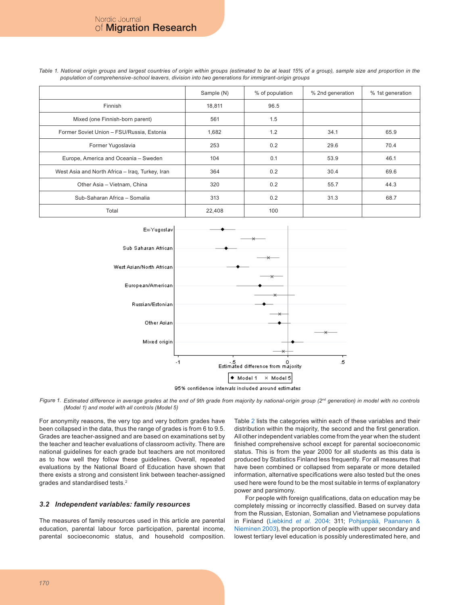# Nordic Journal of Migration Research

|                                                 | Sample (N) | % of population | % 2nd generation | % 1st generation |
|-------------------------------------------------|------------|-----------------|------------------|------------------|
| Finnish                                         | 18,811     | 96.5            |                  |                  |
| Mixed (one Finnish-born parent)                 | 561        | 1.5             |                  |                  |
| Former Soviet Union - FSU/Russia, Estonia       | 1,682      | 1.2             | 34.1             | 65.9             |
| Former Yugoslavia                               | 253        | 0.2             | 29.6             | 70.4             |
| Europe, America and Oceania - Sweden            | 104        | 0.1             | 53.9             | 46.1             |
| West Asia and North Africa - Iraq, Turkey, Iran | 364        | 0.2             | 30.4             | 69.6             |
| Other Asia - Vietnam, China                     | 320        | 0.2             | 55.7             | 44.3             |
| Sub-Saharan Africa - Somalia                    | 313        | 0.2             | 31.3             | 68.7             |
| Total                                           | 22,408     | 100             |                  |                  |

<span id="page-3-0"></span>Table 1. National origin groups and largest countries of origin within groups (estimated to be at least 15% of a group), sample size and proportion in the *population of comprehensive-school leavers, division into two generations for immigrant-origin groups*

<span id="page-3-1"></span>



For anonymity reasons, the very top and very bottom grades have been collapsed in the data, thus the range of grades is from 6 to 9.5. Grades are teacher-assigned and are based on examinations set by the teacher and teacher evaluations of classroom activity. There are national guidelines for each grade but teachers are not monitored as to how well they follow these guidelines. Overall, repeated evaluations by the National Board of Education have shown that there exists a strong and consistent link between teacher-assigned grades and standardised tests.2

### *3.2 Independent variables: family resources*

The measures of family resources used in this article are parental education, parental labour force participation, parental income, parental socioeconomic status, and household composition.

Table [2](#page-4-0) lists the categories within each of these variables and their distribution within the majority, the second and the first generation. All other independent variables come from the year when the student finished comprehensive school except for parental socioeconomic status. This is from the year 2000 for all students as this data is produced by Statistics Finland less frequently. For all measures that have been combined or collapsed from separate or more detailed information, alternative specifications were also tested but the ones used here were found to be the most suitable in terms of explanatory power and parsimony.

For people with foreign qualifications, data on education may be completely missing or incorrectly classified. Based on survey data from the Russian, Estonian, Somalian and Vietnamese populations in Finland ([Liebkind](#page-14-14) *et al.* 2004: 311; [Pohjanpää, Paananen &](#page-14-15) [Nieminen 2003](#page-14-15)), the proportion of people with upper secondary and lowest tertiary level education is possibly underestimated here, and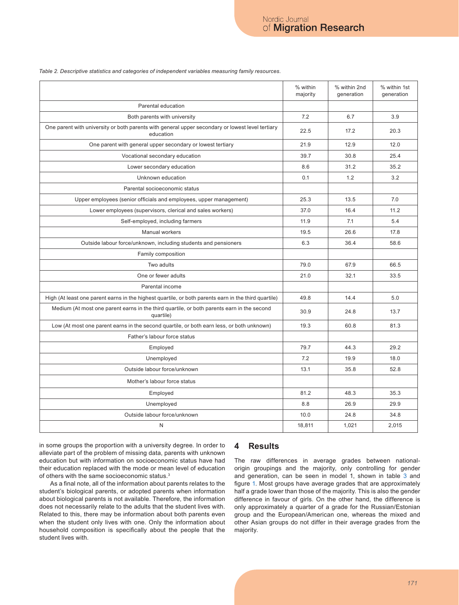<span id="page-4-0"></span>*Table 2. Descriptive statistics and categories of independent variables measuring family resources.*

|                                                                                                               | % within<br>majority | % within 2nd<br>generation | % within 1st<br>qeneration |
|---------------------------------------------------------------------------------------------------------------|----------------------|----------------------------|----------------------------|
| Parental education                                                                                            |                      |                            |                            |
| Both parents with university                                                                                  | 7.2                  | 6.7                        | 3.9                        |
| One parent with university or both parents with general upper secondary or lowest level tertiary<br>education | 22.5                 | 17.2                       | 20.3                       |
| One parent with general upper secondary or lowest tertiary                                                    | 21.9                 | 12.9                       | 12.0                       |
| Vocational secondary education                                                                                | 39.7                 | 30.8                       | 25.4                       |
| Lower secondary education                                                                                     | 8.6                  | 31.2                       | 35.2                       |
| Unknown education                                                                                             | 0.1                  | 1.2                        | 3.2                        |
| Parental socioeconomic status                                                                                 |                      |                            |                            |
| Upper employees (senior officials and employees, upper management)                                            | 25.3                 | 13.5                       | 7.0                        |
| Lower employees (supervisors, clerical and sales workers)                                                     | 37.0                 | 16.4                       | 11.2                       |
| Self-employed, including farmers                                                                              | 11.9                 | 7.1                        | 5.4                        |
| Manual workers                                                                                                | 19.5                 | 26.6                       | 17.8                       |
| Outside labour force/unknown, including students and pensioners                                               | 6.3                  | 36.4                       | 58.6                       |
| Family composition                                                                                            |                      |                            |                            |
| Two adults                                                                                                    | 79.0                 | 67.9                       | 66.5                       |
| One or fewer adults                                                                                           | 21.0                 | 32.1                       | 33.5                       |
| Parental income                                                                                               |                      |                            |                            |
| High (At least one parent earns in the highest quartile, or both parents earn in the third quartile)          | 49.8                 | 14.4                       | 5.0                        |
| Medium (At most one parent earns in the third quartile, or both parents earn in the second<br>quartile)       | 30.9                 | 24.8                       | 13.7                       |
| Low (At most one parent earns in the second quartile, or both earn less, or both unknown)                     | 19.3                 | 60.8                       | 81.3                       |
| Father's labour force status                                                                                  |                      |                            |                            |
| Employed                                                                                                      | 79.7                 | 44.3                       | 29.2                       |
| Unemployed                                                                                                    | 7.2                  | 19.9                       | 18.0                       |
| Outside labour force/unknown                                                                                  | 13.1                 | 35.8                       | 52.8                       |
| Mother's labour force status                                                                                  |                      |                            |                            |
| Employed                                                                                                      | 81.2                 | 48.3                       | 35.3                       |
| Unemployed                                                                                                    | 8.8                  | 26.9                       | 29.9                       |
| Outside labour force/unknown                                                                                  | 10.0                 | 24.8                       | 34.8                       |
| N                                                                                                             | 18,811               | 1,021                      | 2,015                      |

in some groups the proportion with a university degree. In order to alleviate part of the problem of missing data, parents with unknown education but with information on socioeconomic status have had their education replaced with the mode or mean level of education of others with the same socioeconomic status.<sup>3</sup>

As a final note, all of the information about parents relates to the student's biological parents, or adopted parents when information about biological parents is not available. Therefore, the information does not necessarily relate to the adults that the student lives with. Related to this, there may be information about both parents even when the student only lives with one. Only the information about household composition is specifically about the people that the student lives with.

# **4 Results**

The raw differences in average grades between nationalorigin groupings and the majority, only controlling for gender and generation, can be seen in model 1, shown in table [3](#page-5-0) and figure [1](#page-3-1). Most groups have average grades that are approximately half a grade lower than those of the majority. This is also the gender difference in favour of girls. On the other hand, the difference is only approximately a quarter of a grade for the Russian/Estonian group and the European/American one, whereas the mixed and other Asian groups do not differ in their average grades from the majority.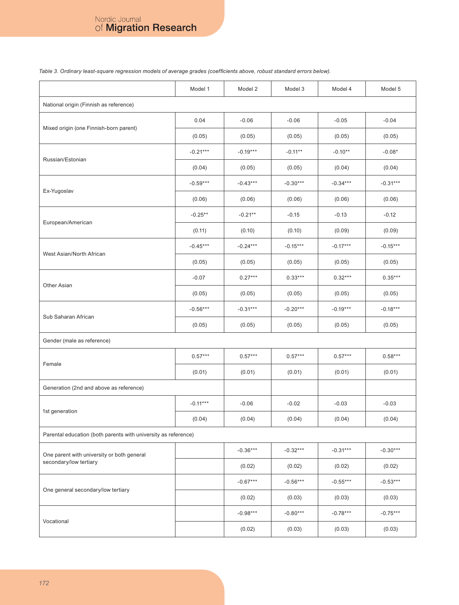<span id="page-5-0"></span>*Table 3. Ordinary least-square regression models of average grades (coefficients above, robust standard errors below).*

|                                                                | Model 1    | Model 2    | Model 3    | Model 4    | Model 5    |  |  |
|----------------------------------------------------------------|------------|------------|------------|------------|------------|--|--|
| National origin (Finnish as reference)                         |            |            |            |            |            |  |  |
| Mixed origin (one Finnish-born parent)                         | 0.04       | $-0.06$    | $-0.06$    | $-0.05$    | $-0.04$    |  |  |
|                                                                | (0.05)     | (0.05)     | (0.05)     | (0.05)     | (0.05)     |  |  |
|                                                                | $-0.21***$ | $-0.19***$ | $-0.11***$ | $-0.10**$  | $-0.08*$   |  |  |
| Russian/Estonian                                               | (0.04)     | (0.05)     | (0.05)     | (0.04)     | (0.04)     |  |  |
|                                                                | $-0.59***$ | $-0.43***$ | $-0.30***$ | $-0.34***$ | $-0.31***$ |  |  |
| Ex-Yugoslav                                                    | (0.06)     | (0.06)     | (0.06)     | (0.06)     | (0.06)     |  |  |
|                                                                | $-0.25**$  | $-0.21**$  | $-0.15$    | $-0.13$    | $-0.12$    |  |  |
| European/American                                              | (0.11)     | (0.10)     | (0.10)     | (0.09)     | (0.09)     |  |  |
|                                                                | $-0.45***$ | $-0.24***$ | $-0.15***$ | $-0.17***$ | $-0.15***$ |  |  |
| West Asian/North African                                       | (0.05)     | (0.05)     | (0.05)     | (0.05)     | (0.05)     |  |  |
|                                                                | $-0.07$    | $0.27***$  | $0.33***$  | $0.32***$  | $0.35***$  |  |  |
| Other Asian                                                    | (0.05)     | (0.05)     | (0.05)     | (0.05)     | (0.05)     |  |  |
|                                                                | $-0.56***$ | $-0.31***$ | $-0.20***$ | $-0.19***$ | $-0.18***$ |  |  |
| Sub Saharan African                                            | (0.05)     | (0.05)     | (0.05)     | (0.05)     | (0.05)     |  |  |
| Gender (male as reference)                                     |            |            |            |            |            |  |  |
|                                                                | $0.57***$  | $0.57***$  | $0.57***$  | $0.57***$  | $0.58***$  |  |  |
| Female                                                         | (0.01)     | (0.01)     | (0.01)     | (0.01)     | (0.01)     |  |  |
| Generation (2nd and above as reference)                        |            |            |            |            |            |  |  |
|                                                                | $-0.11***$ | $-0.06$    | $-0.02$    | $-0.03$    | $-0.03$    |  |  |
| 1st generation                                                 | (0.04)     | (0.04)     | (0.04)     | (0.04)     | (0.04)     |  |  |
| Parental education (both parents with university as reference) |            |            |            |            |            |  |  |
| One parent with university or both general                     |            | $-0.36***$ | $-0.32***$ | $-0.31***$ | $-0.30***$ |  |  |
| secondary/low tertiary                                         |            | (0.02)     | (0.02)     | (0.02)     | (0.02)     |  |  |
|                                                                |            | $-0.67***$ | $-0.56***$ | $-0.55***$ | $-0.53***$ |  |  |
| One general secondary/low tertiary                             |            | (0.02)     | (0.03)     | (0.03)     | (0.03)     |  |  |
|                                                                |            | $-0.98***$ | $-0.80***$ | $-0.78***$ | $-0.75***$ |  |  |
| Vocational                                                     |            | (0.02)     | (0.03)     | (0.03)     | (0.03)     |  |  |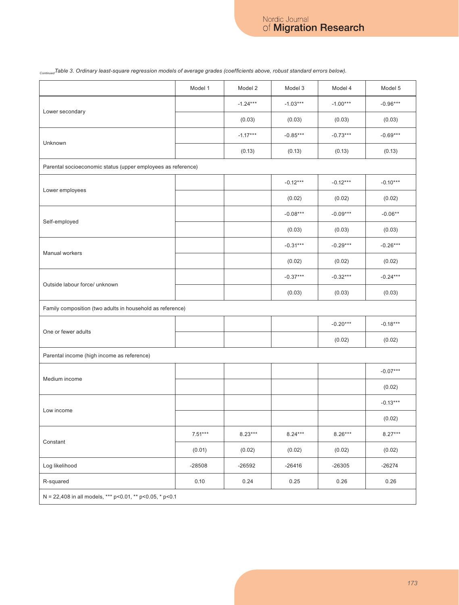*ContinuedTable 3. Ordinary least-square regression models of average grades (coefficients above, robust standard errors below).*

|                                                              | Model 1   | Model 2    | Model 3    | Model 4    | Model 5    |  |  |
|--------------------------------------------------------------|-----------|------------|------------|------------|------------|--|--|
| Lower secondary                                              |           | $-1.24***$ | $-1.03***$ | $-1.00***$ | $-0.96***$ |  |  |
|                                                              |           | (0.03)     | (0.03)     | (0.03)     | (0.03)     |  |  |
| Unknown                                                      |           | $-1.17***$ | $-0.85***$ | $-0.73***$ | $-0.69***$ |  |  |
|                                                              |           | (0.13)     | (0.13)     | (0.13)     | (0.13)     |  |  |
| Parental socioeconomic status (upper employees as reference) |           |            |            |            |            |  |  |
| Lower employees                                              |           |            | $-0.12***$ | $-0.12***$ | $-0.10***$ |  |  |
|                                                              |           |            | (0.02)     | (0.02)     | (0.02)     |  |  |
| Self-employed                                                |           |            | $-0.08***$ | $-0.09***$ | $-0.06**$  |  |  |
|                                                              |           |            | (0.03)     | (0.03)     | (0.03)     |  |  |
| Manual workers                                               |           |            | $-0.31***$ | $-0.29***$ | $-0.26***$ |  |  |
|                                                              |           |            | (0.02)     | (0.02)     | (0.02)     |  |  |
| Outside labour force/ unknown                                |           |            | $-0.37***$ | $-0.32***$ | $-0.24***$ |  |  |
|                                                              |           |            | (0.03)     | (0.03)     | (0.03)     |  |  |
| Family composition (two adults in household as reference)    |           |            |            |            |            |  |  |
| One or fewer adults                                          |           |            |            | $-0.20***$ | $-0.18***$ |  |  |
|                                                              |           |            |            | (0.02)     | (0.02)     |  |  |
| Parental income (high income as reference)                   |           |            |            |            |            |  |  |
| Medium income                                                |           |            |            |            | $-0.07***$ |  |  |
|                                                              |           |            |            |            | (0.02)     |  |  |
| Low income                                                   |           |            |            |            | $-0.13***$ |  |  |
|                                                              |           |            |            |            | (0.02)     |  |  |
| Constant                                                     | $7.51***$ | $8.23***$  | $8.24***$  | $8.26***$  | $8.27***$  |  |  |
|                                                              | (0.01)    | (0.02)     | (0.02)     | (0.02)     | (0.02)     |  |  |
| Log likelihood                                               | $-28508$  | $-26592$   | $-26416$   | $-26305$   | $-26274$   |  |  |
| R-squared                                                    | 0.10      | 0.24       | 0.25       | 0.26       | 0.26       |  |  |
| N = 22,408 in all models, *** p<0.01, ** p<0.05, * p<0.1     |           |            |            |            |            |  |  |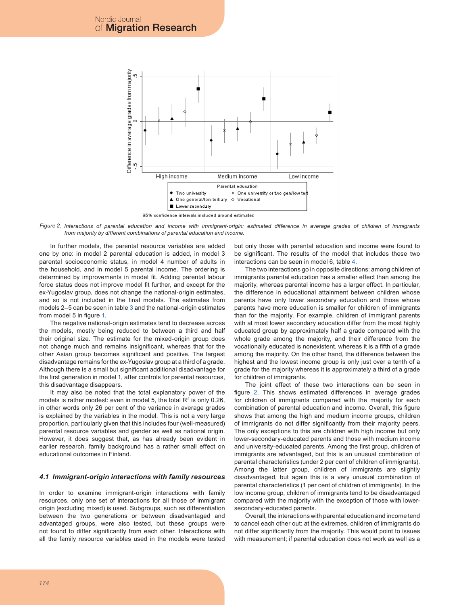<span id="page-7-0"></span>

95% confidence intervals included around estimates

*Figure 2. Interactions of parental education and income with immigrant-origin: estimated difference in average grades of children of immigrants from majority by different combinations of parental education and income.*

In further models, the parental resource variables are added one by one: in model 2 parental education is added, in model 3 parental socioeconomic status, in model 4 number of adults in the household, and in model 5 parental income. The ordering is determined by improvements in model fit. Adding parental labour force status does not improve model fit further, and except for the ex-Yugoslav group, does not change the national-origin estimates, and so is not included in the final models. The estimates from models 2–5 can be seen in table [3](#page-5-0) and the national-origin estimates from model 5 in figure [1](#page-3-1).

The negative national-origin estimates tend to decrease across the models, mostly being reduced to between a third and half their original size. The estimate for the mixed-origin group does not change much and remains insignificant, whereas that for the other Asian group becomes significant and positive. The largest disadvantage remains for the ex-Yugoslav group at a third of a grade. Although there is a small but significant additional disadvantage for the first generation in model 1, after controls for parental resources, this disadvantage disappears.

It may also be noted that the total explanatory power of the models is rather modest: even in model 5, the total  $R^2$  is only 0.26, in other words only 26 per cent of the variance in average grades is explained by the variables in the model. This is not a very large proportion, particularly given that this includes four (well-measured) parental resource variables and gender as well as national origin. However, it does suggest that, as has already been evident in earlier research, family background has a rather small effect on educational outcomes in Finland.

#### *4.1 Immigrant-origin interactions with family resources*

In order to examine immigrant-origin interactions with family resources, only one set of interactions for all those of immigrant origin (excluding mixed) is used. Subgroups, such as differentiation between the two generations or between disadvantaged and advantaged groups, were also tested, but these groups were not found to differ significantly from each other. Interactions with all the family resource variables used in the models were tested but only those with parental education and income were found to be significant. The results of the model that includes these two interactions can be seen in model 6, table [4](#page-8-0).

The two interactions go in opposite directions: among children of immigrants parental education has a smaller effect than among the majority, whereas parental income has a larger effect. In particular, the difference in educational attainment between children whose parents have only lower secondary education and those whose parents have more education is smaller for children of immigrants than for the majority. For example, children of immigrant parents with at most lower secondary education differ from the most highly educated group by approximately half a grade compared with the whole grade among the majority, and their difference from the vocationally educated is nonexistent, whereas it is a fifth of a grade among the majority. On the other hand, the difference between the highest and the lowest income group is only just over a tenth of a grade for the majority whereas it is approximately a third of a grade for children of immigrants.

The joint effect of these two interactions can be seen in figure [2.](#page-7-0) This shows estimated differences in average grades for children of immigrants compared with the majority for each combination of parental education and income. Overall, this figure shows that among the high and medium income groups, children of immigrants do not differ significantly from their majority peers. The only exceptions to this are children with high income but only lower-secondary-educated parents and those with medium income and university-educated parents. Among the first group, children of immigrants are advantaged, but this is an unusual combination of parental characteristics (under 2 per cent of children of immigrants). Among the latter group, children of immigrants are slightly disadvantaged, but again this is a very unusual combination of parental characteristics (1 per cent of children of immigrants). In the low income group, children of immigrants tend to be disadvantaged compared with the majority with the exception of those with lowersecondary-educated parents.

Overall, the interactions with parental education and income tend to cancel each other out: at the extremes, children of immigrants do not differ significantly from the majority. This would point to issues with measurement; if parental education does not work as well as a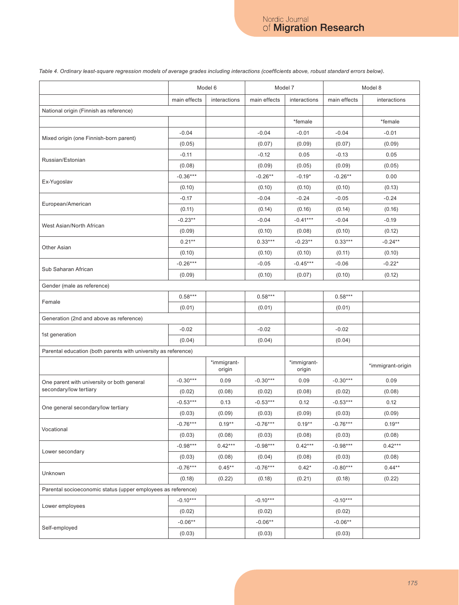|                                                                | Model 6      |                       | Model 7      |                       | Model 8      |                   |
|----------------------------------------------------------------|--------------|-----------------------|--------------|-----------------------|--------------|-------------------|
|                                                                | main effects | interactions          | main effects | interactions          | main effects | interactions      |
| National origin (Finnish as reference)                         |              |                       |              |                       |              |                   |
|                                                                |              |                       |              | *female               |              | *female           |
|                                                                | $-0.04$      |                       | $-0.04$      | $-0.01$               | $-0.04$      | $-0.01$           |
| Mixed origin (one Finnish-born parent)                         | (0.05)       |                       | (0.07)       | (0.09)                | (0.07)       | (0.09)            |
|                                                                | $-0.11$      |                       | $-0.12$      | 0.05                  | $-0.13$      | 0.05              |
| Russian/Estonian                                               | (0.08)       |                       | (0.09)       | (0.05)                | (0.09)       | (0.05)            |
|                                                                | $-0.36***$   |                       | $-0.26**$    | $-0.19*$              | $-0.26**$    | 0.00              |
| Ex-Yugoslav                                                    | (0.10)       |                       | (0.10)       | (0.10)                | (0.10)       | (0.13)            |
|                                                                | $-0.17$      |                       | $-0.04$      | $-0.24$               | $-0.05$      | $-0.24$           |
| European/American                                              | (0.11)       |                       | (0.14)       | (0.16)                | (0.14)       | (0.16)            |
|                                                                | $-0.23**$    |                       | $-0.04$      | $-0.41***$            | $-0.04$      | $-0.19$           |
| West Asian/North African                                       | (0.09)       |                       | (0.10)       | (0.08)                | (0.10)       | (0.12)            |
| Other Asian                                                    | $0.21***$    |                       | $0.33***$    | $-0.23**$             | $0.33***$    | $-0.24**$         |
|                                                                | (0.10)       |                       | (0.10)       | (0.10)                | (0.11)       | (0.10)            |
|                                                                | $-0.26***$   |                       | $-0.05$      | $-0.45***$            | $-0.06$      | $-0.22*$          |
| Sub Saharan African                                            | (0.09)       |                       | (0.10)       | (0.07)                | (0.10)       | (0.12)            |
| Gender (male as reference)                                     |              |                       |              |                       |              |                   |
| Female                                                         | $0.58***$    |                       | $0.58***$    |                       | $0.58***$    |                   |
|                                                                | (0.01)       |                       | (0.01)       |                       | (0.01)       |                   |
| Generation (2nd and above as reference)                        |              |                       |              |                       |              |                   |
| 1st generation                                                 | $-0.02$      |                       | $-0.02$      |                       | $-0.02$      |                   |
|                                                                | (0.04)       |                       | (0.04)       |                       | (0.04)       |                   |
| Parental education (both parents with university as reference) |              |                       |              |                       |              |                   |
|                                                                |              | *immigrant-<br>origin |              | *immigrant-<br>origin |              | *immigrant-origin |
| One parent with university or both general                     | $-0.30***$   | 0.09                  | $-0.30***$   | 0.09                  | $-0.30***$   | 0.09              |
| secondary/low tertiary                                         | (0.02)       | (0.08)                | (0.02)       | (0.08)                | (0.02)       | (0.08)            |
| One general secondary/low tertiary                             | $-0.53***$   | 0.13                  | $-0.53***$   | 0.12                  | $-0.53***$   | 0.12              |
|                                                                | (0.03)       | (0.09)                | (0.03)       | (0.09)                | (0.03)       | (0.09)            |
| Vocational                                                     | $-0.76***$   | $0.19**$              | $-0.76***$   | $0.19**$              | $-0.76***$   | $0.19**$          |
|                                                                | (0.03)       | (0.08)                | (0.03)       | (0.08)                | (0.03)       | (0.08)            |
| Lower secondary                                                | $-0.98***$   | $0.42***$             | $-0.98***$   | $0.42***$             | $-0.98***$   | $0.42***$         |
|                                                                | (0.03)       | (0.08)                | (0.04)       | (0.08)                | (0.03)       | (0.08)            |
| Unknown                                                        | $-0.76***$   | $0.45**$              | $-0.76***$   | $0.42*$               | $-0.80***$   | $0.44**$          |
|                                                                | (0.18)       | (0.22)                | (0.18)       | (0.21)                | (0.18)       | (0.22)            |
| Parental socioeconomic status (upper employees as reference)   |              |                       |              |                       |              |                   |
| Lower employees                                                | $-0.10***$   |                       | $-0.10***$   |                       | $-0.10***$   |                   |
|                                                                | (0.02)       |                       | (0.02)       |                       | (0.02)       |                   |
| Self-employed                                                  | $-0.06**$    |                       | $-0.06**$    |                       | $-0.06**$    |                   |
|                                                                | (0.03)       |                       | (0.03)       |                       | (0.03)       |                   |

<span id="page-8-0"></span>*Table 4. Ordinary least-square regression models of average grades including interactions (coefficients above, robust standard errors below).*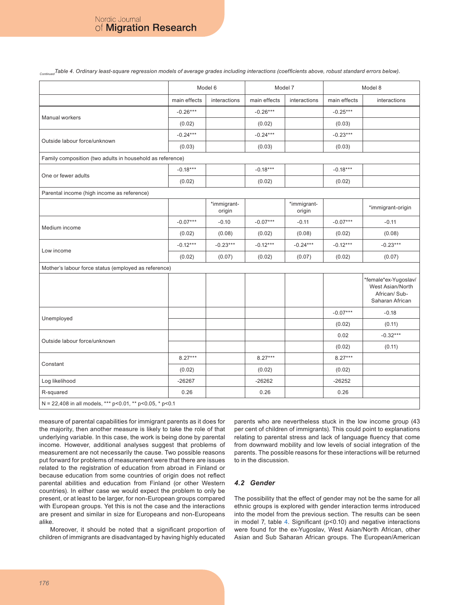|                                                           | Model 6      |                       | Model 7      |                       | Model 8      |                                                                              |
|-----------------------------------------------------------|--------------|-----------------------|--------------|-----------------------|--------------|------------------------------------------------------------------------------|
|                                                           | main effects | interactions          | main effects | interactions          | main effects | interactions                                                                 |
|                                                           | $-0.26***$   |                       | $-0.26***$   |                       | $-0.25***$   |                                                                              |
| Manual workers                                            | (0.02)       |                       | (0.02)       |                       | (0.03)       |                                                                              |
|                                                           | $-0.24***$   |                       | $-0.24***$   |                       | $-0.23***$   |                                                                              |
| Outside labour force/unknown                              | (0.03)       |                       | (0.03)       |                       | (0.03)       |                                                                              |
| Family composition (two adults in household as reference) |              |                       |              |                       |              |                                                                              |
| One or fewer adults                                       | $-0.18***$   |                       | $-0.18***$   |                       | $-0.18***$   |                                                                              |
|                                                           | (0.02)       |                       | (0.02)       |                       | (0.02)       |                                                                              |
| Parental income (high income as reference)                |              |                       |              |                       |              |                                                                              |
|                                                           |              | *immigrant-<br>origin |              | *immigrant-<br>origin |              | *immigrant-origin                                                            |
| Medium income                                             | $-0.07***$   | $-0.10$               | $-0.07***$   | $-0.11$               | $-0.07***$   | $-0.11$                                                                      |
|                                                           | (0.02)       | (0.08)                | (0.02)       | (0.08)                | (0.02)       | (0.08)                                                                       |
| Low income                                                | $-0.12***$   | $-0.23***$            | $-0.12***$   | $-0.24***$            | $-0.12***$   | $-0.23***$                                                                   |
|                                                           | (0.02)       | (0.07)                | (0.02)       | (0.07)                | (0.02)       | (0.07)                                                                       |
| Mother's labour force status (employed as reference)      |              |                       |              |                       |              |                                                                              |
|                                                           |              |                       |              |                       |              | *female*ex-Yugoslav/<br>West Asian/North<br>African/ Sub-<br>Saharan African |
|                                                           |              |                       |              |                       | $-0.07***$   | $-0.18$                                                                      |
| Unemployed                                                |              |                       |              |                       | (0.02)       | (0.11)                                                                       |
| Outside labour force/unknown                              |              |                       |              |                       | 0.02         | $-0.32***$                                                                   |
|                                                           |              |                       |              |                       | (0.02)       | (0.11)                                                                       |
| Constant                                                  | $8.27***$    |                       | $8.27***$    |                       | $8.27***$    |                                                                              |
|                                                           | (0.02)       |                       | (0.02)       |                       | (0.02)       |                                                                              |
| Log likelihood                                            | $-26267$     |                       | $-26262$     |                       | $-26252$     |                                                                              |
| R-squared                                                 | 0.26         |                       | 0.26         |                       | 0.26         |                                                                              |
| N = 22,408 in all models, *** p<0.01, ** p<0.05, * p<0.1  |              |                       |              |                       |              |                                                                              |

*ContinuedTable 4. Ordinary least-square regression models of average grades including interactions (coefficients above, robust standard errors below).*

measure of parental capabilities for immigrant parents as it does for the majority, then another measure is likely to take the role of that underlying variable. In this case, the work is being done by parental income. However, additional analyses suggest that problems of measurement are not necessarily the cause. Two possible reasons put forward for problems of measurement were that there are issues related to the registration of education from abroad in Finland or because education from some countries of origin does not reflect parental abilities and education from Finland (or other Western countries). In either case we would expect the problem to only be present, or at least to be larger, for non-European groups compared with European groups. Yet this is not the case and the interactions are present and similar in size for Europeans and non-Europeans alike.

Moreover, it should be noted that a significant proportion of children of immigrants are disadvantaged by having highly educated

parents who are nevertheless stuck in the low income group (43 per cent of children of immigrants). This could point to explanations relating to parental stress and lack of language fluency that come from downward mobility and low levels of social integration of the parents. The possible reasons for these interactions will be returned to in the discussion.

#### *4.2 Gender*

The possibility that the effect of gender may not be the same for all ethnic groups is explored with gender interaction terms introduced into the model from the previous section. The results can be seen in model 7, table [4.](#page-8-0) Significant (p<0.10) and negative interactions were found for the ex-Yugoslav, West Asian/North African, other Asian and Sub Saharan African groups. The European/American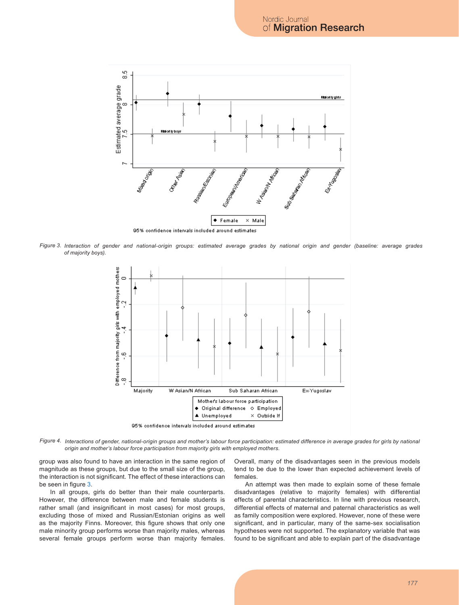<span id="page-10-0"></span>

<span id="page-10-1"></span>*Figure 3. Interaction of gender and national-origin groups: estimated average grades by national origin and gender (baseline: average grades of majority boys).*



*Figure 4. Interactions of gender, national-origin groups and mother's labour force participation: estimated difference in average grades for girls by national origin and mother's labour force participation from majority girls with employed mothers.*

group was also found to have an interaction in the same region of magnitude as these groups, but due to the small size of the group, the interaction is not significant. The effect of these interactions can be seen in figure [3.](#page-10-0)

In all groups, girls do better than their male counterparts. However, the difference between male and female students is rather small (and insignificant in most cases) for most groups, excluding those of mixed and Russian/Estonian origins as well as the majority Finns. Moreover, this figure shows that only one male minority group performs worse than majority males, whereas several female groups perform worse than majority females. Overall, many of the disadvantages seen in the previous models tend to be due to the lower than expected achievement levels of females.

An attempt was then made to explain some of these female disadvantages (relative to majority females) with differential effects of parental characteristics. In line with previous research, differential effects of maternal and paternal characteristics as well as family composition were explored. However, none of these were significant, and in particular, many of the same-sex socialisation hypotheses were not supported. The explanatory variable that was found to be significant and able to explain part of the disadvantage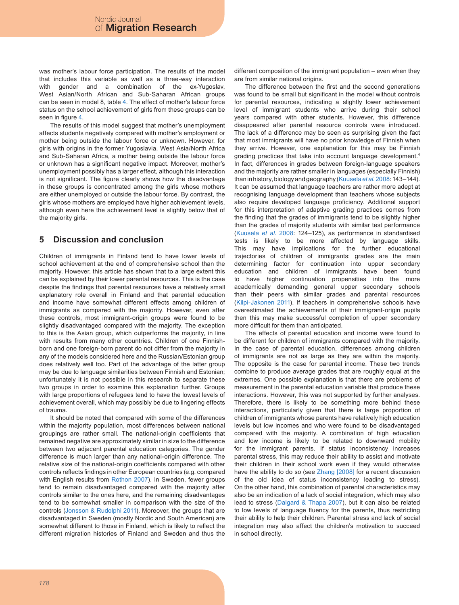was mother's labour force participation. The results of the model that includes this variable as well as a three-way interaction<br>with gender and a combination of the ex-Yugoslav gender and a combination of the ex-Yugoslav, West Asian/North African and Sub-Saharan African groups can be seen in model 8, table [4.](#page-8-0) The effect of mother's labour force status on the school achievement of girls from these groups can be seen in figure [4](#page-10-1).

The results of this model suggest that mother's unemployment affects students negatively compared with mother's employment or mother being outside the labour force or unknown. However, for girls with origins in the former Yugoslavia, West Asia/North Africa and Sub-Saharan Africa, a mother being outside the labour force or unknown has a significant negative impact. Moreover, mother's unemployment possibly has a larger effect, although this interaction is not significant. The figure clearly shows how the disadvantage in these groups is concentrated among the girls whose mothers are either unemployed or outside the labour force. By contrast, the girls whose mothers are employed have higher achievement levels, although even here the achievement level is slightly below that of the majority girls.

# **5 Discussion and conclusion**

Children of immigrants in Finland tend to have lower levels of school achievement at the end of comprehensive school than the majority. However, this article has shown that to a large extent this can be explained by their lower parental resources. This is the case despite the findings that parental resources have a relatively small explanatory role overall in Finland and that parental education and income have somewhat different effects among children of immigrants as compared with the majority. However, even after these controls, most immigrant-origin groups were found to be slightly disadvantaged compared with the majority. The exception to this is the Asian group, which outperforms the majority, in line with results from many other countries. Children of one Finnishborn and one foreign-born parent do not differ from the majority in any of the models considered here and the Russian/Estonian group does relatively well too. Part of the advantage of the latter group may be due to language similarities between Finnish and Estonian; unfortunately it is not possible in this research to separate these two groups in order to examine this explanation further. Groups with large proportions of refugees tend to have the lowest levels of achievement overall, which may possibly be due to lingering effects of trauma.

It should be noted that compared with some of the differences within the majority population, most differences between national groupings are rather small. The national-origin coefficients that remained negative are approximately similar in size to the difference between two adjacent parental education categories. The gender difference is much larger than any national-origin difference. The relative size of the national-origin coefficients compared with other controls reflects findings in other European countries (e.g. compared with English results from [Rothon 2007](#page-14-16)). In Sweden, fewer groups tend to remain disadvantaged compared with the majority after controls similar to the ones here, and the remaining disadvantages tend to be somewhat smaller in comparison with the size of the controls ([Jonsson & Rudolphi 2011\)](#page-13-1). Moreover, the groups that are disadvantaged in Sweden (mostly Nordic and South American) are somewhat different to those in Finland, which is likely to reflect the different migration histories of Finland and Sweden and thus the different composition of the immigrant population – even when they are from similar national origins.

The difference between the first and the second generations was found to be small but significant in the model without controls for parental resources, indicating a slightly lower achievement level of immigrant students who arrive during their school years compared with other students. However, this difference disappeared after parental resource controls were introduced. The lack of a difference may be seen as surprising given the fact that most immigrants will have no prior knowledge of Finnish when they arrive. However, one explanation for this may be Finnish grading practices that take into account language development.<sup>4</sup> In fact, differences in grades between foreign-language speakers and the majority are rather smaller in languages (especially Finnish) than in history, biology and geography ([Kuusela](#page-14-10) *et al*. 2008: 143–144). It can be assumed that language teachers are rather more adept at recognising language development than teachers whose subjects also require developed language proficiency. Additional support for this interpretation of adaptive grading practices comes from the finding that the grades of immigrants tend to be slightly higher than the grades of majority students with similar test performance ([Kuusela](#page-14-10) *et al*. 2008: 124–125), as performance in standardised tests is likely to be more affected by language skills. This may have implications for the further educational trajectories of children of immigrants: grades are the main determining factor for continuation into upper secondary education and children of immigrants have been found to have higher continuation propensities into the more academically demanding general upper secondary schools than their peers with similar grades and parental resources ([Kilpi-Jakonen 2011](#page-14-17)). If teachers in comprehensive schools have overestimated the achievements of their immigrant-origin pupils then this may make successful completion of upper secondary more difficult for them than anticipated.

The effects of parental education and income were found to be different for children of immigrants compared with the majority. In the case of parental education, differences among children of immigrants are not as large as they are within the majority. The opposite is the case for parental income. These two trends combine to produce average grades that are roughly equal at the extremes. One possible explanation is that there are problems of measurement in the parental education variable that produce these interactions. However, this was not supported by further analyses. Therefore, there is likely to be something more behind these interactions, particularly given that there is large proportion of children of immigrants whose parents have relatively high education levels but low incomes and who were found to be disadvantaged compared with the majority. A combination of high education and low income is likely to be related to downward mobility for the immigrant parents. If status inconsistency increases parental stress, this may reduce their ability to assist and motivate their children in their school work even if they would otherwise have the ability to do so (see [Zhang \[2008\]](#page-14-18) for a recent discussion of the old idea of status inconsistency leading to stress). On the other hand, this combination of parental characteristics may also be an indication of a lack of social integration, which may also lead to stress ([Dalgard & Thapa 2007](#page-13-15)), but it can also be related to low levels of language fluency for the parents, thus restricting their ability to help their children. Parental stress and lack of social integration may also affect the children's motivation to succeed in school directly.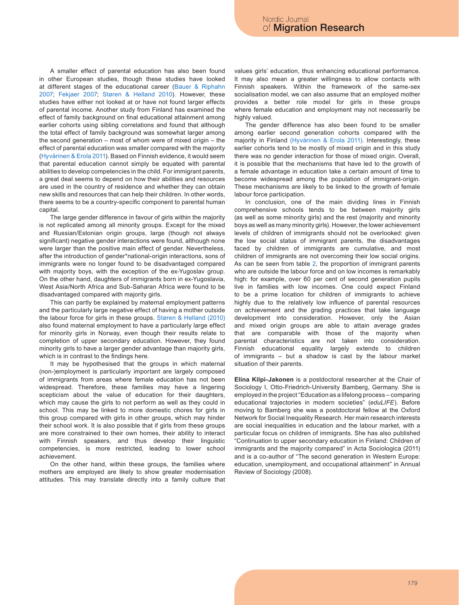A smaller effect of parental education has also been found in other European studies, though these studies have looked at different stages of the educational career [\(Bauer & Riphahn](#page-13-7) [2007;](#page-13-7) [Fekjaer 2007;](#page-13-9) [Støren & Helland 2010](#page-14-13)). However, these studies have either not looked at or have not found larger effects of parental income. Another study from Finland has examined the effect of family background on final educational attainment among earlier cohorts using sibling correlations and found that although the total effect of family background was somewhat larger among the second generation – most of whom were of mixed origin – the effect of parental education was smaller compared with the majority ([Hyvärinen & Erola 2011\)](#page-13-8). Based on Finnish evidence, it would seem that parental education cannot simply be equated with parental abilities to develop competencies in the child. For immigrant parents, a great deal seems to depend on how their abilities and resources are used in the country of residence and whether they can obtain new skills and resources that can help their children. In other words, there seems to be a country-specific component to parental human capital.

The large gender difference in favour of girls within the majority is not replicated among all minority groups. Except for the mixed and Russian/Estonian origin groups, large (though not always significant) negative gender interactions were found, although none were larger than the positive main effect of gender. Nevertheless, after the introduction of gender\*national-origin interactions, sons of immigrants were no longer found to be disadvantaged compared with majority boys, with the exception of the ex-Yugoslav group. On the other hand, daughters of immigrants born in ex-Yugoslavia, West Asia/North Africa and Sub-Saharan Africa were found to be disadvantaged compared with majority girls.

This can partly be explained by maternal employment patterns and the particularly large negative effect of having a mother outside the labour force for girls in these groups. [Støren & Helland \(2010\)](#page-14-13) also found maternal employment to have a particularly large effect for minority girls in Norway, even though their results relate to completion of upper secondary education. However, they found minority girls to have a larger gender advantage than majority girls, which is in contrast to the findings here.

It may be hypothesised that the groups in which maternal (non-)employment is particularly important are largely composed of immigrants from areas where female education has not been widespread. Therefore, these families may have a lingering scepticism about the value of education for their daughters, which may cause the girls to not perform as well as they could in school. This may be linked to more domestic chores for girls in this group compared with girls in other groups, which may hinder their school work. It is also possible that if girls from these groups are more constrained to their own homes, their ability to interact with Finnish speakers, and thus develop their linguistic competencies, is more restricted, leading to lower school achievement.

On the other hand, within these groups, the families where mothers are employed are likely to show greater modernisation attitudes. This may translate directly into a family culture that

values girls' education, thus enhancing educational performance. It may also mean a greater willingness to allow contacts with Finnish speakers. Within the framework of the same-sex socialisation model, we can also assume that an employed mother provides a better role model for girls in these groups where female education and employment may not necessarily be highly valued.

The gender difference has also been found to be smaller among earlier second generation cohorts compared with the majority in Finland [\(Hyvärinen & Erola 2011\)](#page-13-8). Interestingly, these earlier cohorts tend to be mostly of mixed origin and in this study there was no gender interaction for those of mixed origin. Overall, it is possible that the mechanisms that have led to the growth of a female advantage in education take a certain amount of time to become widespread among the population of immigrant-origin. These mechanisms are likely to be linked to the growth of female labour force participation.

In conclusion, one of the main dividing lines in Finnish comprehensive schools tends to be between majority girls (as well as some minority girls) and the rest (majority and minority boys as well as many minority girls). However, the lower achievement levels of children of immigrants should not be overlooked: given the low social status of immigrant parents, the disadvantages faced by children of immigrants are cumulative, and most children of immigrants are not overcoming their low social origins. As can be seen from table [2,](#page-4-0) the proportion of immigrant parents who are outside the labour force and on low incomes is remarkably high: for example, over 60 per cent of second generation pupils live in families with low incomes. One could expect Finland to be a prime location for children of immigrants to achieve highly due to the relatively low influence of parental resources on achievement and the grading practices that take language development into consideration. However, only the Asian and mixed origin groups are able to attain average grades that are comparable with those of the majority when parental characteristics are not taken into consideration. Finnish educational equality largely extends to children of immigrants – but a shadow is cast by the labour market situation of their parents.

**Elina Kilpi-Jakonen** is a postdoctoral researcher at the Chair of Sociology I, Otto-Friedrich-University Bamberg, Germany. She is employed in the project "Education as a lifelong process – comparing educational trajectories in modern societies" (*eduLIFE*). Before moving to Bamberg she was a postdoctoral fellow at the Oxford Network for Social Inequality Research. Her main research interests are social inequalities in education and the labour market, with a particular focus on children of immigrants. She has also published "Continuation to upper secondary education in Finland: Children of immigrants and the majority compared" in Acta Sociologica (2011) and is a co-author of "The second generation in Western Europe: education, unemployment, and occupational attainment" in Annual Review of Sociology (2008).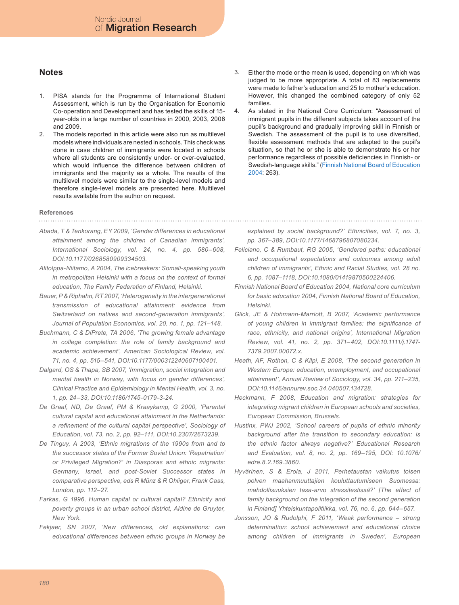# **Notes**

- PISA stands for the Programme of International Student Assessment, which is run by the Organisation for Economic Co-operation and Development and has tested the skills of 15 year-olds in a large number of countries in 2000, 2003, 2006 and 2009. 1.
- The models reported in this article were also run as multilevel models where individuals are nested in schools. This check was done in case children of immigrants were located in schools where all students are consistently under- or over-evaluated, which would influence the difference between children of immigrants and the majority as a whole. The results of the multilevel models were similar to the single-level models and therefore single-level models are presented here. Multilevel results available from the author on request.  $\mathcal{D}$
- Either the mode or the mean is used, depending on which was judged to be more appropriate. A total of 83 replacements were made to father's education and 25 to mother's education. However, this changed the combined category of only 52 families. 3.
- As stated in the National Core Curriculum: "Assessment of immigrant pupils in the different subjects takes account of the pupil's background and gradually improving skill in Finnish or Swedish. The assessment of the pupil is to use diversified, flexible assessment methods that are adapted to the pupil's situation, so that he or she is able to demonstrate his or her performance regardless of possible deficiencies in Finnish- or Swedish-language skills." ([Finnish National Board of Education](#page-13-16) [2004](#page-13-16): 263). 4.

# **References**

- <span id="page-13-12"></span>*Abada, T & Tenkorang, EY 2009, 'Gender differences in educational attainment among the children of Canadian immigrants', International Sociology, vol. 24, no. 4, pp. 580–608, DOI:10.1177/0268580909334503.*
- <span id="page-13-11"></span>*Alitolppa-Niitamo, A 2004, The icebreakers: Somali-speaking youth in metropolitan Helsinki with a focus on the context of formal education, The Family Federation of Finland, Helsinki.*
- <span id="page-13-7"></span>*Bauer, P & Riphahn, RT 2007, 'Heterogeneity in the intergenerational transmission of educational attainment: evidence from Switzerland on natives and second-generation immigrants', Journal of Population Economics, vol. 20, no. 1, pp. 121–148.*
- <span id="page-13-14"></span>*Buchmann, C & DiPrete, TA 2006, 'The growing female advantage in college completion: the role of family background and academic achievement', American Sociological Review, vol. 71, no. 4, pp. 515–541, DOI:10.1177/000312240607100401.*
- <span id="page-13-15"></span>*Dalgard, OS & Thapa, SB 2007, 'Immigration, social integration and mental health in Norway, with focus on gender differences', Clinical Practice and Epidemiology in Mental Health, vol. 3, no. 1, pp. 24–33, DOI:10.1186/1745-0179-3-24.*
- <span id="page-13-4"></span>*De Graaf, ND, De Graaf, PM & Kraaykamp, G 2000, 'Parental cultural capital and educational attainment in the Netherlands: a refinement of the cultural capital perspective', Sociology of Education, vol. 73, no. 2, pp. 92–111, DOI:10.2307/2673239.*
- <span id="page-13-3"></span>*De Tinguy, A 2003, 'Ethnic migrations of the 1990s from and to the successor states of the Former Soviet Union: 'Repatriation' or Privileged Migration?' in Diasporas and ethnic migrants: Germany, Israel, and post-Soviet Successor states in comparative perspective, eds R Münz & R Ohliger, Frank Cass, London, pp. 112–27.*
- <span id="page-13-5"></span>*Farkas, G 1996, Human capital or cultural capital? Ethnicity and poverty groups in an urban school district, Aldine de Gruyter, New York.*
- <span id="page-13-9"></span>*Fekjaer, SN 2007, 'New differences, old explanations: can educational differences between ethnic groups in Norway be*

*explained by social background?' Ethnicities, vol. 7, no. 3, pp. 367–389, DOI:10.1177/1468796807080234.*

- <span id="page-13-13"></span>*Feliciano, C & Rumbaut, RG 2005, 'Gendered paths: educational and occupational expectations and outcomes among adult children of immigrants', Ethnic and Racial Studies, vol. 28 no. 6, pp. 1087–1118, DOI:10.1080/01419870500224406.*
- <span id="page-13-16"></span>*Finnish National Board of Education 2004, National core curriculum for basic education 2004, Finnish National Board of Education, Helsinki.*
- <span id="page-13-2"></span>*Glick, JE & Hohmann-Marriott, B 2007, 'Academic performance of young children in immigrant families: the significance of race, ethnicity, and national origins', International Migration Review, vol. 41, no. 2, pp. 371–402, DOI:10.1111/j.1747- 7379.2007.00072.x.*
- <span id="page-13-0"></span>*Heath, AF, Rothon, C & Kilpi, E 2008, 'The second generation in Western Europe: education, unemployment, and occupational attainment', Annual Review of Sociology, vol. 34, pp. 211–235, DOI:10.1146/annurev.soc.34.040507.134728.*
- <span id="page-13-10"></span>*Heckmann, F 2008, Education and migration: strategies for integrating migrant children in European schools and societies, European Commission, Brussels.*
- <span id="page-13-6"></span>*Hustinx, PWJ 2002, 'School careers of pupils of ethnic minority background after the transition to secondary education: is the ethnic factor always negative?' Educational Research and Evaluation, vol. 8, no. 2, pp. 169–195, DOI: 10.1076/ edre.8.2.169.3860.*
- <span id="page-13-8"></span>*Hyvärinen, S & Erola, J 2011, Perhetaustan vaikutus toisen polven maahanmuuttajien kouluttautumiseen Suomessa: mahdollisuuksien tasa-arvo stressitestissä?' [The effect of family background on the integration of the second generation in Finland] Yhteiskuntapolitiikka, vol. 76, no. 6, pp. 644–657.*
- <span id="page-13-1"></span>*Jonsson, JO & Rudolphi, F 2011, 'Weak performance – strong determination: school achievement and educational choice among children of immigrants in Sweden', European*